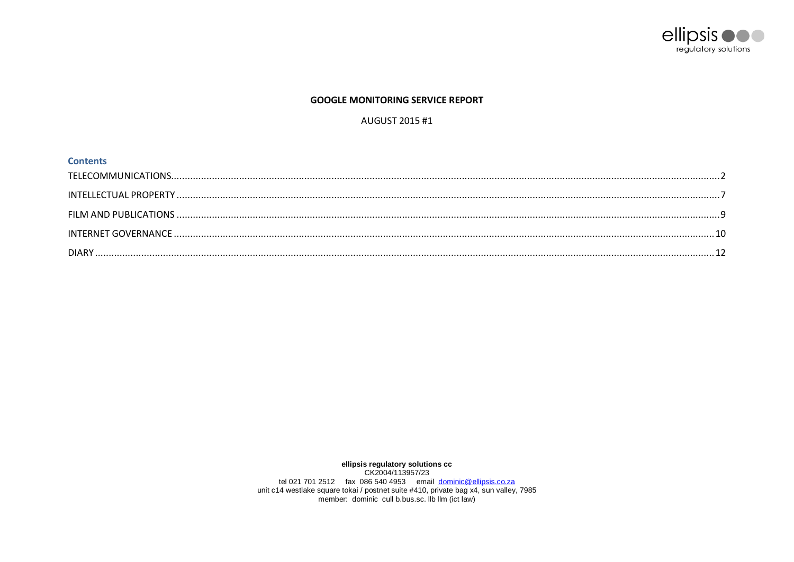

# **GOOGLE MONITORING SERVICE REPORT**

# AUGUST 2015 #1

| <b>Contents</b> |  |
|-----------------|--|
|                 |  |
|                 |  |
|                 |  |
|                 |  |
|                 |  |

ellipsis regulatory solutions cc<br>CK2004/113957/23 tel 021 701 2512 fax 086 540 4953 email <u>dominic@ellipsis.co.za</u><br>unit c14 westlake square tokai / postnet suite #410, private bag x4, sun valley, 7985<br>member: dominic cull b.bus.sc. lb llm (ict law)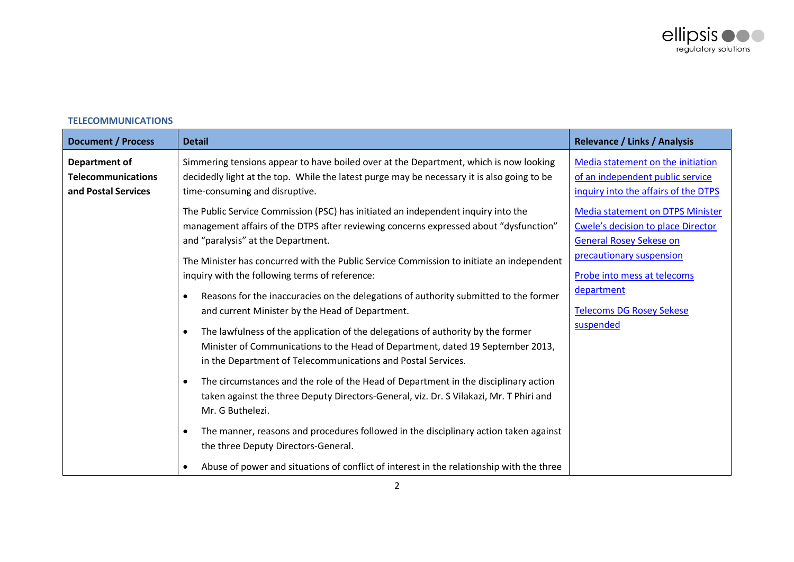

| <b>Document / Process</b>                                                | <b>Detail</b>                                                                                                                                                                                                                                  | <b>Relevance / Links / Analysis</b>                                                                                    |
|--------------------------------------------------------------------------|------------------------------------------------------------------------------------------------------------------------------------------------------------------------------------------------------------------------------------------------|------------------------------------------------------------------------------------------------------------------------|
| <b>Department of</b><br><b>Telecommunications</b><br>and Postal Services | Simmering tensions appear to have boiled over at the Department, which is now looking<br>decidedly light at the top. While the latest purge may be necessary it is also going to be<br>time-consuming and disruptive.                          | Media statement on the initiation<br>of an independent public service<br>inquiry into the affairs of the DTPS          |
|                                                                          | The Public Service Commission (PSC) has initiated an independent inquiry into the<br>management affairs of the DTPS after reviewing concerns expressed about "dysfunction"<br>and "paralysis" at the Department.                               | <b>Media statement on DTPS Minister</b><br><b>Cwele's decision to place Director</b><br><b>General Rosey Sekese on</b> |
|                                                                          | The Minister has concurred with the Public Service Commission to initiate an independent<br>inquiry with the following terms of reference:                                                                                                     | precautionary suspension<br>Probe into mess at telecoms                                                                |
|                                                                          | Reasons for the inaccuracies on the delegations of authority submitted to the former<br>$\bullet$<br>and current Minister by the Head of Department.                                                                                           | department<br><b>Telecoms DG Rosey Sekese</b>                                                                          |
|                                                                          | The lawfulness of the application of the delegations of authority by the former<br>$\bullet$<br>Minister of Communications to the Head of Department, dated 19 September 2013,<br>in the Department of Telecommunications and Postal Services. | suspended                                                                                                              |
|                                                                          | The circumstances and the role of the Head of Department in the disciplinary action<br>$\bullet$<br>taken against the three Deputy Directors-General, viz. Dr. S Vilakazi, Mr. T Phiri and<br>Mr. G Buthelezi.                                 |                                                                                                                        |
|                                                                          | The manner, reasons and procedures followed in the disciplinary action taken against<br>$\bullet$<br>the three Deputy Directors-General.                                                                                                       |                                                                                                                        |
|                                                                          | Abuse of power and situations of conflict of interest in the relationship with the three                                                                                                                                                       |                                                                                                                        |

# <span id="page-1-0"></span>**TELECOMMUNICATIONS**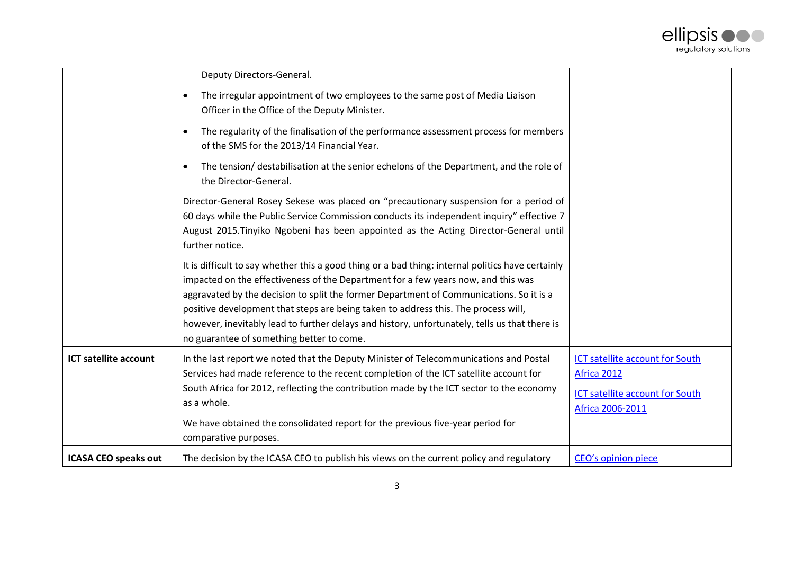

|                              | Deputy Directors-General.                                                                                                                                                                                                                                                                                                                                                                                                                                                                                             |                                                                                                                     |
|------------------------------|-----------------------------------------------------------------------------------------------------------------------------------------------------------------------------------------------------------------------------------------------------------------------------------------------------------------------------------------------------------------------------------------------------------------------------------------------------------------------------------------------------------------------|---------------------------------------------------------------------------------------------------------------------|
|                              | The irregular appointment of two employees to the same post of Media Liaison<br>$\bullet$<br>Officer in the Office of the Deputy Minister.                                                                                                                                                                                                                                                                                                                                                                            |                                                                                                                     |
|                              | The regularity of the finalisation of the performance assessment process for members<br>$\bullet$<br>of the SMS for the 2013/14 Financial Year.                                                                                                                                                                                                                                                                                                                                                                       |                                                                                                                     |
|                              | The tension/ destabilisation at the senior echelons of the Department, and the role of<br>$\bullet$<br>the Director-General.                                                                                                                                                                                                                                                                                                                                                                                          |                                                                                                                     |
|                              | Director-General Rosey Sekese was placed on "precautionary suspension for a period of<br>60 days while the Public Service Commission conducts its independent inquiry" effective 7<br>August 2015. Tinyiko Ngobeni has been appointed as the Acting Director-General until<br>further notice.                                                                                                                                                                                                                         |                                                                                                                     |
|                              | It is difficult to say whether this a good thing or a bad thing: internal politics have certainly<br>impacted on the effectiveness of the Department for a few years now, and this was<br>aggravated by the decision to split the former Department of Communications. So it is a<br>positive development that steps are being taken to address this. The process will,<br>however, inevitably lead to further delays and history, unfortunately, tells us that there is<br>no guarantee of something better to come. |                                                                                                                     |
| <b>ICT satellite account</b> | In the last report we noted that the Deputy Minister of Telecommunications and Postal<br>Services had made reference to the recent completion of the ICT satellite account for<br>South Africa for 2012, reflecting the contribution made by the ICT sector to the economy<br>as a whole.<br>We have obtained the consolidated report for the previous five-year period for<br>comparative purposes.                                                                                                                  | <b>ICT satellite account for South</b><br>Africa 2012<br><b>ICT satellite account for South</b><br>Africa 2006-2011 |
| <b>ICASA CEO speaks out</b>  | The decision by the ICASA CEO to publish his views on the current policy and regulatory                                                                                                                                                                                                                                                                                                                                                                                                                               | CEO's opinion piece                                                                                                 |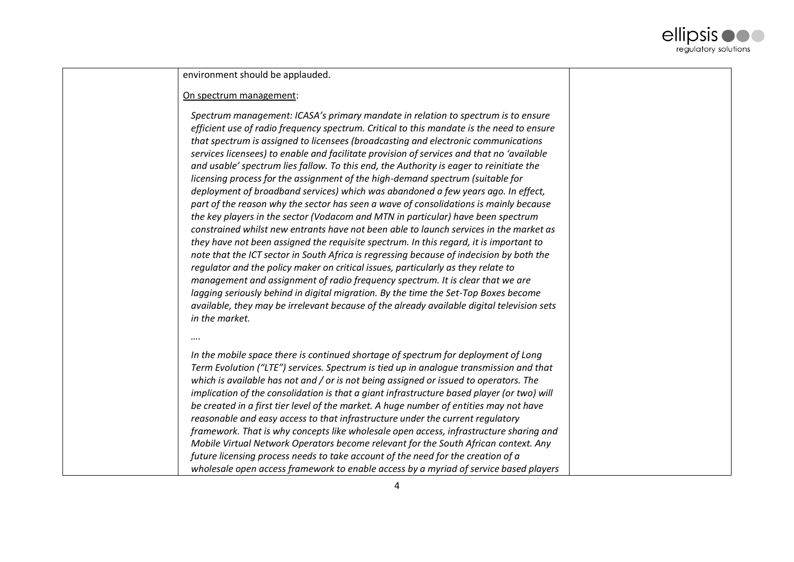

environment should be applauded.

### On spectrum management:

*Spectrum management: ICASA's primary mandate in relation to spectrum is to ensure efficient use of radio frequency spectrum. Critical to this mandate is the need to ensure that spectrum is assigned to licensees (broadcasting and electronic communications services licensees) to enable and facilitate provision of services and that no 'available and usable' spectrum lies fallow. To this end, the Authority is eager to reinitiate the licensing process for the assignment of the high-demand spectrum (suitable for deployment of broadband services) which was abandoned a few years ago. In effect, part of the reason why the sector has seen a wave of consolidations is mainly because the key players in the sector (Vodacom and MTN in particular) have been spectrum constrained whilst new entrants have not been able to launch services in the market as they have not been assigned the requisite spectrum. In this regard, it is important to note that the ICT sector in South Africa is regressing because of indecision by both the regulator and the policy maker on critical issues, particularly as they relate to management and assignment of radio frequency spectrum. It is clear that we are lagging seriously behind in digital migration. By the time the Set-Top Boxes become available, they may be irrelevant because of the already available digital television sets in the market.*

#### *….*

*In the mobile space there is continued shortage of spectrum for deployment of Long Term Evolution ("LTE") services. Spectrum is tied up in analogue transmission and that which is available has not and / or is not being assigned or issued to operators. The implication of the consolidation is that a giant infrastructure based player (or two) will be created in a first tier level of the market. A huge number of entities may not have reasonable and easy access to that infrastructure under the current regulatory framework. That is why concepts like wholesale open access, infrastructure sharing and Mobile Virtual Network Operators become relevant for the South African context. Any future licensing process needs to take account of the need for the creation of a wholesale open access framework to enable access by a myriad of service based players*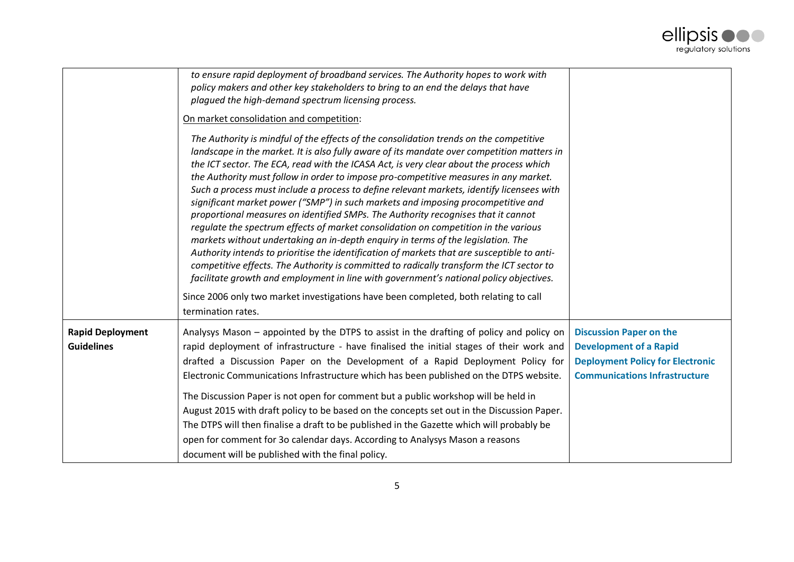

|                                              | to ensure rapid deployment of broadband services. The Authority hopes to work with<br>policy makers and other key stakeholders to bring to an end the delays that have<br>plagued the high-demand spectrum licensing process.                                                                                                                                                                                                                                                                                                                                                                                                                                                                                                                                                                                                                                                                                                                                                                                                                                                                                                                                                                                               |                                                                                                                                                    |
|----------------------------------------------|-----------------------------------------------------------------------------------------------------------------------------------------------------------------------------------------------------------------------------------------------------------------------------------------------------------------------------------------------------------------------------------------------------------------------------------------------------------------------------------------------------------------------------------------------------------------------------------------------------------------------------------------------------------------------------------------------------------------------------------------------------------------------------------------------------------------------------------------------------------------------------------------------------------------------------------------------------------------------------------------------------------------------------------------------------------------------------------------------------------------------------------------------------------------------------------------------------------------------------|----------------------------------------------------------------------------------------------------------------------------------------------------|
|                                              | On market consolidation and competition:                                                                                                                                                                                                                                                                                                                                                                                                                                                                                                                                                                                                                                                                                                                                                                                                                                                                                                                                                                                                                                                                                                                                                                                    |                                                                                                                                                    |
|                                              | The Authority is mindful of the effects of the consolidation trends on the competitive<br>landscape in the market. It is also fully aware of its mandate over competition matters in<br>the ICT sector. The ECA, read with the ICASA Act, is very clear about the process which<br>the Authority must follow in order to impose pro-competitive measures in any market.<br>Such a process must include a process to define relevant markets, identify licensees with<br>significant market power ("SMP") in such markets and imposing procompetitive and<br>proportional measures on identified SMPs. The Authority recognises that it cannot<br>requlate the spectrum effects of market consolidation on competition in the various<br>markets without undertaking an in-depth enquiry in terms of the legislation. The<br>Authority intends to prioritise the identification of markets that are susceptible to anti-<br>competitive effects. The Authority is committed to radically transform the ICT sector to<br>facilitate growth and employment in line with government's national policy objectives.<br>Since 2006 only two market investigations have been completed, both relating to call<br>termination rates. |                                                                                                                                                    |
|                                              |                                                                                                                                                                                                                                                                                                                                                                                                                                                                                                                                                                                                                                                                                                                                                                                                                                                                                                                                                                                                                                                                                                                                                                                                                             |                                                                                                                                                    |
| <b>Rapid Deployment</b><br><b>Guidelines</b> | Analysys Mason – appointed by the DTPS to assist in the drafting of policy and policy on<br>rapid deployment of infrastructure - have finalised the initial stages of their work and<br>drafted a Discussion Paper on the Development of a Rapid Deployment Policy for<br>Electronic Communications Infrastructure which has been published on the DTPS website.                                                                                                                                                                                                                                                                                                                                                                                                                                                                                                                                                                                                                                                                                                                                                                                                                                                            | <b>Discussion Paper on the</b><br><b>Development of a Rapid</b><br><b>Deployment Policy for Electronic</b><br><b>Communications Infrastructure</b> |
|                                              | The Discussion Paper is not open for comment but a public workshop will be held in<br>August 2015 with draft policy to be based on the concepts set out in the Discussion Paper.<br>The DTPS will then finalise a draft to be published in the Gazette which will probably be<br>open for comment for 3o calendar days. According to Analysys Mason a reasons<br>document will be published with the final policy.                                                                                                                                                                                                                                                                                                                                                                                                                                                                                                                                                                                                                                                                                                                                                                                                          |                                                                                                                                                    |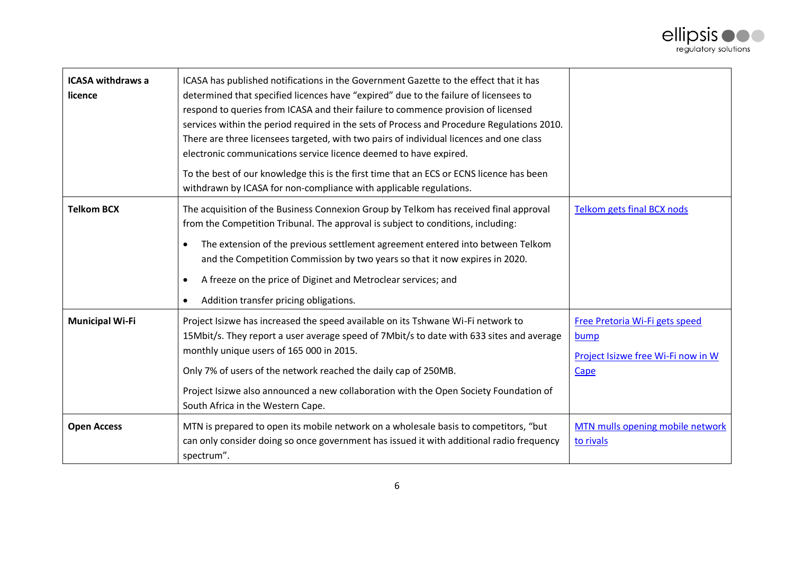

| <b>ICASA withdraws a</b><br>licence | ICASA has published notifications in the Government Gazette to the effect that it has<br>determined that specified licences have "expired" due to the failure of licensees to<br>respond to queries from ICASA and their failure to commence provision of licensed<br>services within the period required in the sets of Process and Procedure Regulations 2010.<br>There are three licensees targeted, with two pairs of individual licences and one class<br>electronic communications service licence deemed to have expired.<br>To the best of our knowledge this is the first time that an ECS or ECNS licence has been<br>withdrawn by ICASA for non-compliance with applicable regulations. |                                                                                             |
|-------------------------------------|----------------------------------------------------------------------------------------------------------------------------------------------------------------------------------------------------------------------------------------------------------------------------------------------------------------------------------------------------------------------------------------------------------------------------------------------------------------------------------------------------------------------------------------------------------------------------------------------------------------------------------------------------------------------------------------------------|---------------------------------------------------------------------------------------------|
| <b>Telkom BCX</b>                   | The acquisition of the Business Connexion Group by Telkom has received final approval<br>from the Competition Tribunal. The approval is subject to conditions, including:<br>The extension of the previous settlement agreement entered into between Telkom<br>$\bullet$<br>and the Competition Commission by two years so that it now expires in 2020.<br>A freeze on the price of Diginet and Metroclear services; and<br>$\bullet$<br>Addition transfer pricing obligations.                                                                                                                                                                                                                    | Telkom gets final BCX nods                                                                  |
| <b>Municipal Wi-Fi</b>              | Project Isizwe has increased the speed available on its Tshwane Wi-Fi network to<br>15Mbit/s. They report a user average speed of 7Mbit/s to date with 633 sites and average<br>monthly unique users of 165 000 in 2015.<br>Only 7% of users of the network reached the daily cap of 250MB.<br>Project Isizwe also announced a new collaboration with the Open Society Foundation of<br>South Africa in the Western Cape.                                                                                                                                                                                                                                                                          | Free Pretoria Wi-Fi gets speed<br>bump<br>Project Isizwe free Wi-Fi now in W<br><b>Cape</b> |
| <b>Open Access</b>                  | MTN is prepared to open its mobile network on a wholesale basis to competitors, "but<br>can only consider doing so once government has issued it with additional radio frequency<br>spectrum".                                                                                                                                                                                                                                                                                                                                                                                                                                                                                                     | MTN mulls opening mobile network<br>to rivals                                               |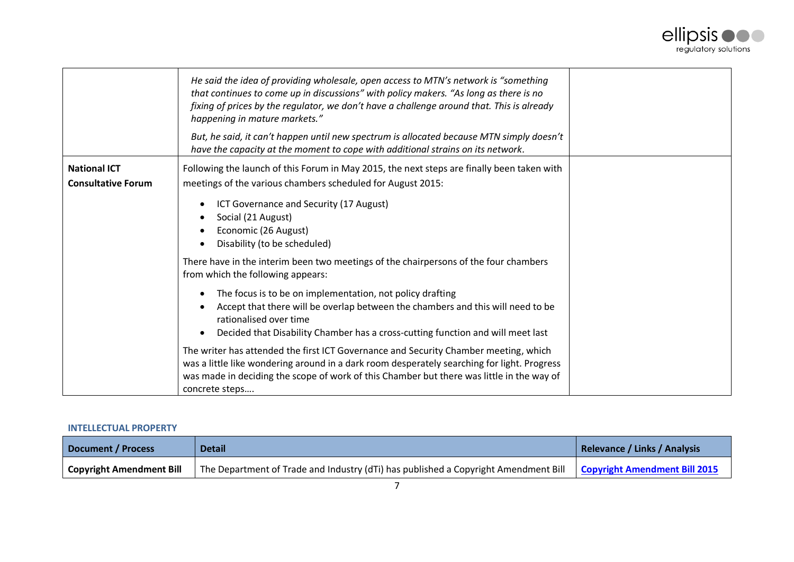

|                           | He said the idea of providing wholesale, open access to MTN's network is "something<br>that continues to come up in discussions" with policy makers. "As long as there is no<br>fixing of prices by the regulator, we don't have a challenge around that. This is already<br>happening in mature markets."<br>But, he said, it can't happen until new spectrum is allocated because MTN simply doesn't<br>have the capacity at the moment to cope with additional strains on its network. |  |
|---------------------------|-------------------------------------------------------------------------------------------------------------------------------------------------------------------------------------------------------------------------------------------------------------------------------------------------------------------------------------------------------------------------------------------------------------------------------------------------------------------------------------------|--|
| <b>National ICT</b>       | Following the launch of this Forum in May 2015, the next steps are finally been taken with                                                                                                                                                                                                                                                                                                                                                                                                |  |
| <b>Consultative Forum</b> | meetings of the various chambers scheduled for August 2015:                                                                                                                                                                                                                                                                                                                                                                                                                               |  |
|                           | ICT Governance and Security (17 August)<br>٠<br>Social (21 August)<br>٠<br>Economic (26 August)<br>Disability (to be scheduled)<br>$\bullet$                                                                                                                                                                                                                                                                                                                                              |  |
|                           | There have in the interim been two meetings of the chairpersons of the four chambers<br>from which the following appears:                                                                                                                                                                                                                                                                                                                                                                 |  |
|                           | The focus is to be on implementation, not policy drafting<br>٠<br>Accept that there will be overlap between the chambers and this will need to be<br>$\bullet$<br>rationalised over time<br>Decided that Disability Chamber has a cross-cutting function and will meet last<br>٠                                                                                                                                                                                                          |  |
|                           | The writer has attended the first ICT Governance and Security Chamber meeting, which<br>was a little like wondering around in a dark room desperately searching for light. Progress<br>was made in deciding the scope of work of this Chamber but there was little in the way of<br>concrete steps                                                                                                                                                                                        |  |

# <span id="page-6-0"></span>**INTELLECTUAL PROPERTY**

| Document / Process              | <b>Detail</b>                                                                       | Relevance / Links / Analysis  |
|---------------------------------|-------------------------------------------------------------------------------------|-------------------------------|
| <b>Copyright Amendment Bill</b> | The Department of Trade and Industry (dTi) has published a Copyright Amendment Bill | Copyright Amendment Bill 2015 |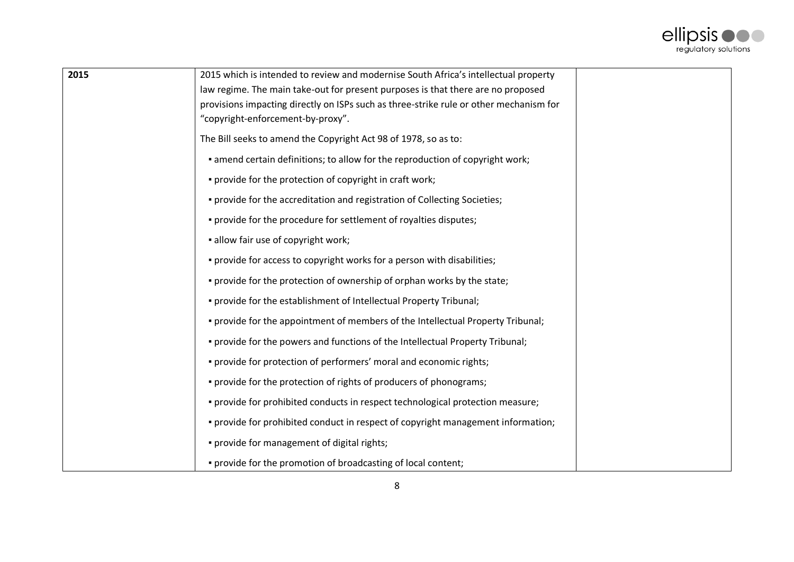

| 2015 | 2015 which is intended to review and modernise South Africa's intellectual property    |  |
|------|----------------------------------------------------------------------------------------|--|
|      | law regime. The main take-out for present purposes is that there are no proposed       |  |
|      | provisions impacting directly on ISPs such as three-strike rule or other mechanism for |  |
|      | "copyright-enforcement-by-proxy".                                                      |  |
|      | The Bill seeks to amend the Copyright Act 98 of 1978, so as to:                        |  |
|      | • amend certain definitions; to allow for the reproduction of copyright work;          |  |
|      | . provide for the protection of copyright in craft work;                               |  |
|      | . provide for the accreditation and registration of Collecting Societies;              |  |
|      | . provide for the procedure for settlement of royalties disputes;                      |  |
|      | • allow fair use of copyright work;                                                    |  |
|      | . provide for access to copyright works for a person with disabilities;                |  |
|      | . provide for the protection of ownership of orphan works by the state;                |  |
|      | . provide for the establishment of Intellectual Property Tribunal;                     |  |
|      | . provide for the appointment of members of the Intellectual Property Tribunal;        |  |
|      | . provide for the powers and functions of the Intellectual Property Tribunal;          |  |
|      | . provide for protection of performers' moral and economic rights;                     |  |
|      | . provide for the protection of rights of producers of phonograms;                     |  |
|      | . provide for prohibited conducts in respect technological protection measure;         |  |
|      | · provide for prohibited conduct in respect of copyright management information;       |  |
|      | . provide for management of digital rights;                                            |  |
|      | . provide for the promotion of broadcasting of local content;                          |  |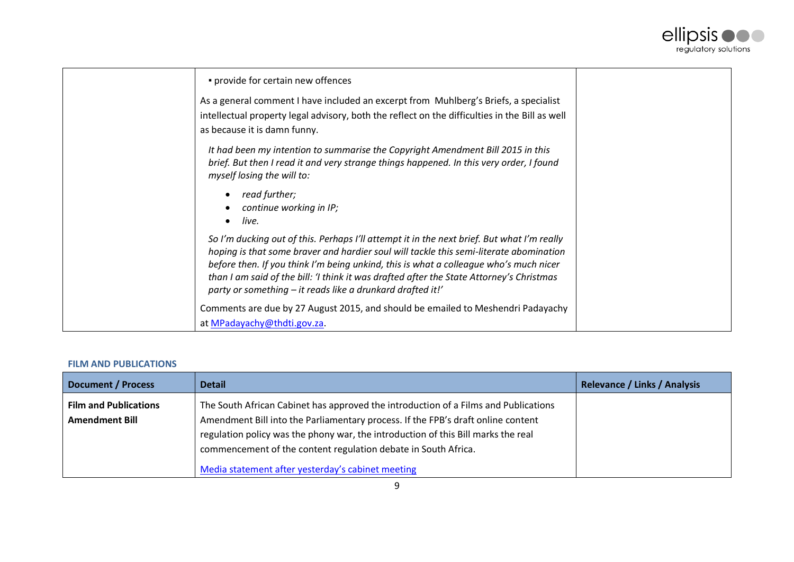

| · provide for certain new offences                                                                                                                                                                                                                                                                                                                                                                                                      |  |
|-----------------------------------------------------------------------------------------------------------------------------------------------------------------------------------------------------------------------------------------------------------------------------------------------------------------------------------------------------------------------------------------------------------------------------------------|--|
| As a general comment I have included an excerpt from Muhlberg's Briefs, a specialist<br>intellectual property legal advisory, both the reflect on the difficulties in the Bill as well<br>as because it is damn funny.                                                                                                                                                                                                                  |  |
| It had been my intention to summarise the Copyright Amendment Bill 2015 in this<br>brief. But then I read it and very strange things happened. In this very order, I found<br>myself losing the will to:                                                                                                                                                                                                                                |  |
| read further;<br>continue working in IP;<br>live.                                                                                                                                                                                                                                                                                                                                                                                       |  |
| So I'm ducking out of this. Perhaps I'll attempt it in the next brief. But what I'm really<br>hoping is that some braver and hardier soul will tackle this semi-literate abomination<br>before then. If you think I'm being unkind, this is what a colleague who's much nicer<br>than I am said of the bill: 'I think it was drafted after the State Attorney's Christmas<br>party or something – it reads like a drunkard drafted it!' |  |
| Comments are due by 27 August 2015, and should be emailed to Meshendri Padayachy<br>at MPadayachy@thdti.gov.za.                                                                                                                                                                                                                                                                                                                         |  |

# <span id="page-8-0"></span>**FILM AND PUBLICATIONS**

| <b>Document / Process</b>                             | <b>Detail</b>                                                                                                                                                                                                                                                                                                                                                                       | <b>Relevance / Links / Analysis</b> |
|-------------------------------------------------------|-------------------------------------------------------------------------------------------------------------------------------------------------------------------------------------------------------------------------------------------------------------------------------------------------------------------------------------------------------------------------------------|-------------------------------------|
| <b>Film and Publications</b><br><b>Amendment Bill</b> | The South African Cabinet has approved the introduction of a Films and Publications<br>Amendment Bill into the Parliamentary process. If the FPB's draft online content<br>regulation policy was the phony war, the introduction of this Bill marks the real<br>commencement of the content regulation debate in South Africa.<br>Media statement after yesterday's cabinet meeting |                                     |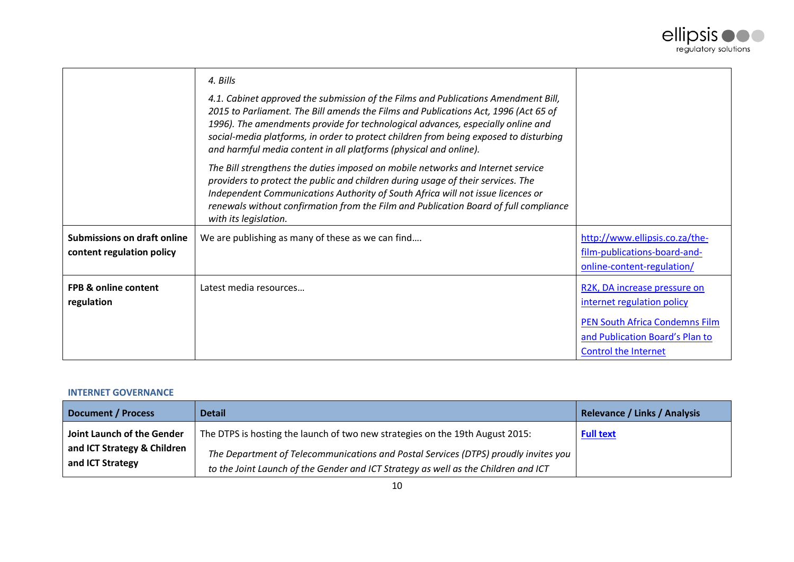

|                                    | 4. Bills                                                                                                                                                                                                                                                                                                                                                                                                                   |                                 |
|------------------------------------|----------------------------------------------------------------------------------------------------------------------------------------------------------------------------------------------------------------------------------------------------------------------------------------------------------------------------------------------------------------------------------------------------------------------------|---------------------------------|
|                                    | 4.1. Cabinet approved the submission of the Films and Publications Amendment Bill,<br>2015 to Parliament. The Bill amends the Films and Publications Act, 1996 (Act 65 of<br>1996). The amendments provide for technological advances, especially online and<br>social-media platforms, in order to protect children from being exposed to disturbing<br>and harmful media content in all platforms (physical and online). |                                 |
|                                    | The Bill strengthens the duties imposed on mobile networks and Internet service<br>providers to protect the public and children during usage of their services. The<br>Independent Communications Authority of South Africa will not issue licences or<br>renewals without confirmation from the Film and Publication Board of full compliance<br>with its legislation.                                                    |                                 |
| <b>Submissions on draft online</b> | We are publishing as many of these as we can find                                                                                                                                                                                                                                                                                                                                                                          | http://www.ellipsis.co.za/the-  |
| content regulation policy          |                                                                                                                                                                                                                                                                                                                                                                                                                            | film-publications-board-and-    |
|                                    |                                                                                                                                                                                                                                                                                                                                                                                                                            | online-content-regulation/      |
| <b>FPB &amp; online content</b>    | Latest media resources                                                                                                                                                                                                                                                                                                                                                                                                     | R2K, DA increase pressure on    |
| regulation                         |                                                                                                                                                                                                                                                                                                                                                                                                                            | internet regulation policy      |
|                                    |                                                                                                                                                                                                                                                                                                                                                                                                                            | PEN South Africa Condemns Film  |
|                                    |                                                                                                                                                                                                                                                                                                                                                                                                                            | and Publication Board's Plan to |
|                                    |                                                                                                                                                                                                                                                                                                                                                                                                                            | <b>Control the Internet</b>     |

# <span id="page-9-0"></span>**INTERNET GOVERNANCE**

| <b>Document / Process</b>                       | <b>Detail</b>                                                                                                                                                             | <b>Relevance / Links / Analysis</b> |
|-------------------------------------------------|---------------------------------------------------------------------------------------------------------------------------------------------------------------------------|-------------------------------------|
| Joint Launch of the Gender                      | The DTPS is hosting the launch of two new strategies on the 19th August 2015:                                                                                             | <b>Full text</b>                    |
| and ICT Strategy & Children<br>and ICT Strategy | The Department of Telecommunications and Postal Services (DTPS) proudly invites you<br>to the Joint Launch of the Gender and ICT Strategy as well as the Children and ICT |                                     |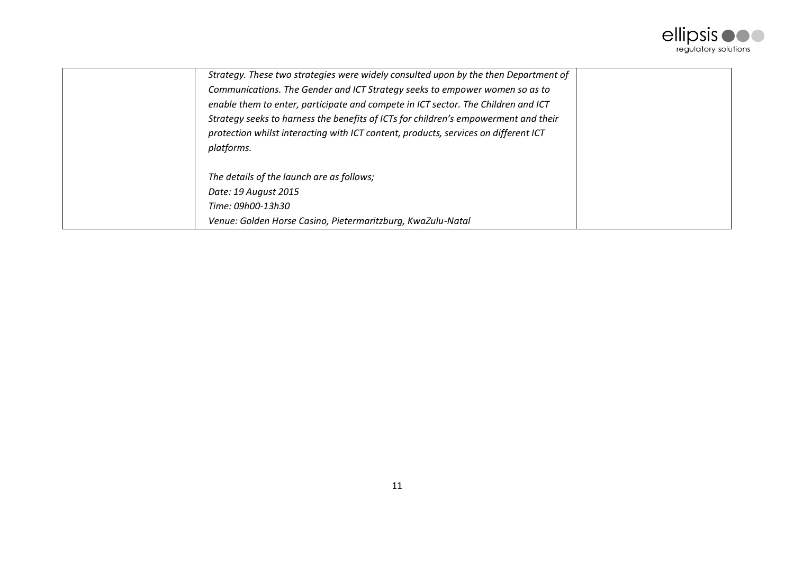

| Strategy. These two strategies were widely consulted upon by the then Department of |
|-------------------------------------------------------------------------------------|
| Communications. The Gender and ICT Strategy seeks to empower women so as to         |
| enable them to enter, participate and compete in ICT sector. The Children and ICT   |
| Strategy seeks to harness the benefits of ICTs for children's empowerment and their |
| protection whilst interacting with ICT content, products, services on different ICT |
| platforms.                                                                          |
|                                                                                     |
| The details of the launch are as follows;                                           |
| Date: 19 August 2015                                                                |
| Time: 09h00-13h30                                                                   |
| Venue: Golden Horse Casino, Pietermaritzburg, KwaZulu-Natal                         |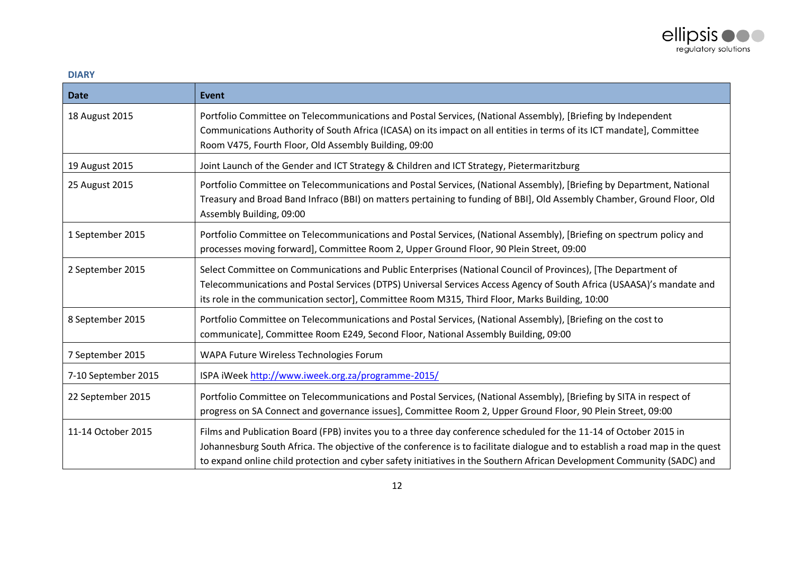

# <span id="page-11-0"></span>**DIARY**

| <b>Date</b>         | <b>Event</b>                                                                                                                                                                                                                                                                                                                                                                   |
|---------------------|--------------------------------------------------------------------------------------------------------------------------------------------------------------------------------------------------------------------------------------------------------------------------------------------------------------------------------------------------------------------------------|
| 18 August 2015      | Portfolio Committee on Telecommunications and Postal Services, (National Assembly), [Briefing by Independent<br>Communications Authority of South Africa (ICASA) on its impact on all entities in terms of its ICT mandate], Committee<br>Room V475, Fourth Floor, Old Assembly Building, 09:00                                                                                |
| 19 August 2015      | Joint Launch of the Gender and ICT Strategy & Children and ICT Strategy, Pietermaritzburg                                                                                                                                                                                                                                                                                      |
| 25 August 2015      | Portfolio Committee on Telecommunications and Postal Services, (National Assembly), [Briefing by Department, National<br>Treasury and Broad Band Infraco (BBI) on matters pertaining to funding of BBI], Old Assembly Chamber, Ground Floor, Old<br>Assembly Building, 09:00                                                                                                   |
| 1 September 2015    | Portfolio Committee on Telecommunications and Postal Services, (National Assembly), [Briefing on spectrum policy and<br>processes moving forward], Committee Room 2, Upper Ground Floor, 90 Plein Street, 09:00                                                                                                                                                                |
| 2 September 2015    | Select Committee on Communications and Public Enterprises (National Council of Provinces), [The Department of<br>Telecommunications and Postal Services (DTPS) Universal Services Access Agency of South Africa (USAASA)'s mandate and<br>its role in the communication sector], Committee Room M315, Third Floor, Marks Building, 10:00                                       |
| 8 September 2015    | Portfolio Committee on Telecommunications and Postal Services, (National Assembly), [Briefing on the cost to<br>communicate], Committee Room E249, Second Floor, National Assembly Building, 09:00                                                                                                                                                                             |
| 7 September 2015    | WAPA Future Wireless Technologies Forum                                                                                                                                                                                                                                                                                                                                        |
| 7-10 September 2015 | ISPA iWeek http://www.iweek.org.za/programme-2015/                                                                                                                                                                                                                                                                                                                             |
| 22 September 2015   | Portfolio Committee on Telecommunications and Postal Services, (National Assembly), [Briefing by SITA in respect of<br>progress on SA Connect and governance issues], Committee Room 2, Upper Ground Floor, 90 Plein Street, 09:00                                                                                                                                             |
| 11-14 October 2015  | Films and Publication Board (FPB) invites you to a three day conference scheduled for the 11-14 of October 2015 in<br>Johannesburg South Africa. The objective of the conference is to facilitate dialogue and to establish a road map in the quest<br>to expand online child protection and cyber safety initiatives in the Southern African Development Community (SADC) and |